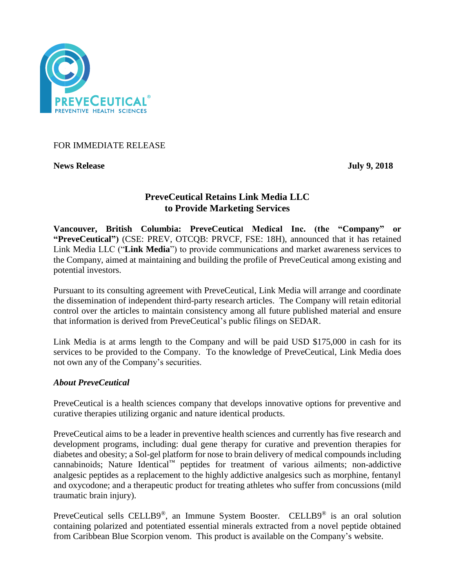

## FOR IMMEDIATE RELEASE

**News Release July 9, 2018**

# **PreveCeutical Retains Link Media LLC to Provide Marketing Services**

**Vancouver, British Columbia: PreveCeutical Medical Inc. (the "Company" or "PreveCeutical")** (CSE: PREV, OTCQB: PRVCF, FSE: 18H), announced that it has retained Link Media LLC ("**Link Media**") to provide communications and market awareness services to the Company, aimed at maintaining and building the profile of PreveCeutical among existing and potential investors.

Pursuant to its consulting agreement with PreveCeutical, Link Media will arrange and coordinate the dissemination of independent third-party research articles. The Company will retain editorial control over the articles to maintain consistency among all future published material and ensure that information is derived from PreveCeutical's public filings on SEDAR.

Link Media is at arms length to the Company and will be paid USD \$175,000 in cash for its services to be provided to the Company. To the knowledge of PreveCeutical, Link Media does not own any of the Company's securities.

## *About PreveCeutical*

PreveCeutical is a health sciences company that develops innovative options for preventive and curative therapies utilizing organic and nature identical products.

PreveCeutical aims to be a leader in preventive health sciences and currently has five research and development programs, including: dual gene therapy for curative and prevention therapies for diabetes and obesity; a Sol-gel platform for nose to brain delivery of medical compounds including cannabinoids; Nature Identical™ peptides for treatment of various ailments; non-addictive analgesic peptides as a replacement to the highly addictive analgesics such as morphine, fentanyl and oxycodone; and a therapeutic product for treating athletes who suffer from concussions (mild traumatic brain injury).

PreveCeutical sells CELLB9®, an Immune System Booster. CELLB9® is an oral solution containing polarized and potentiated essential minerals extracted from a novel peptide obtained from Caribbean Blue Scorpion venom. This product is available on the Company's website.